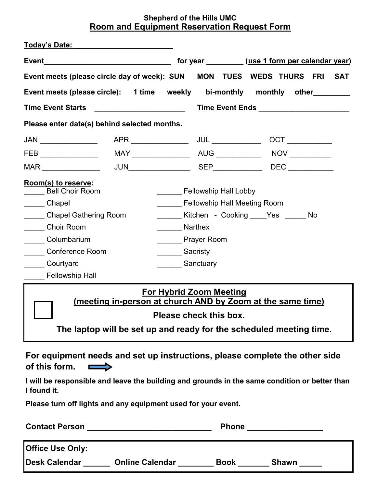## **Shepherd of the Hills UMC Room and Equipment Reservation Request Form**

| <u>Today's Date: Today's Date:</u>                                                                                                                                            |                                                        |                                                                                                 |  |  |            |  |  |
|-------------------------------------------------------------------------------------------------------------------------------------------------------------------------------|--------------------------------------------------------|-------------------------------------------------------------------------------------------------|--|--|------------|--|--|
|                                                                                                                                                                               |                                                        | for year __________(use 1 form per calendar year)                                               |  |  |            |  |  |
| Event meets (please circle day of week): SUN  MON  TUES  WEDS  THURS  FRI                                                                                                     |                                                        |                                                                                                 |  |  | <b>SAT</b> |  |  |
| Event meets (please circle): 1 time weekly bi-monthly monthly other                                                                                                           |                                                        |                                                                                                 |  |  |            |  |  |
| <b>Time Event Starts</b>                                                                                                                                                      |                                                        |                                                                                                 |  |  |            |  |  |
| Please enter date(s) behind selected months.                                                                                                                                  |                                                        |                                                                                                 |  |  |            |  |  |
|                                                                                                                                                                               |                                                        |                                                                                                 |  |  |            |  |  |
|                                                                                                                                                                               |                                                        |                                                                                                 |  |  |            |  |  |
| $\mathsf{MAR} \_\_\_\_\_\_\_\_\_\_\$                                                                                                                                          |                                                        |                                                                                                 |  |  |            |  |  |
| Room(s) to reserve:<br><b>Bell Choir Room</b><br>_____ Chapel<br>Chapel Gathering Room<br>Choir Room<br>Columbarium<br><b>Conference Room</b><br>Courtyard<br>Fellowship Hall | Narthex<br><b>Prayer Room</b><br>Sacristy<br>Sanctuary | <b>Fellowship Hall Lobby</b><br><b>Fellowship Hall Meeting Room</b><br>Kitchen - Cooking Yes No |  |  |            |  |  |
| <b>For Hybrid Zoom Meeting</b><br>(meeting in-person at church AND by Zoom at the same time)<br>Please check this box.                                                        |                                                        |                                                                                                 |  |  |            |  |  |
| The laptop will be set up and ready for the scheduled meeting time.                                                                                                           |                                                        |                                                                                                 |  |  |            |  |  |

**For equipment needs and set up instructions, please complete the other side of this form.**  $\sim$ 

**I will be responsible and leave the building and grounds in the same condition or better than I found it.** 

**Please turn off lights and any equipment used for your event.** 

| <b>Contact Person</b> |                        | <b>Phone</b> |       |
|-----------------------|------------------------|--------------|-------|
| Office Use Only:      |                        |              |       |
| <b>IDesk Calendar</b> | <b>Online Calendar</b> | <b>Book</b>  | Shawn |